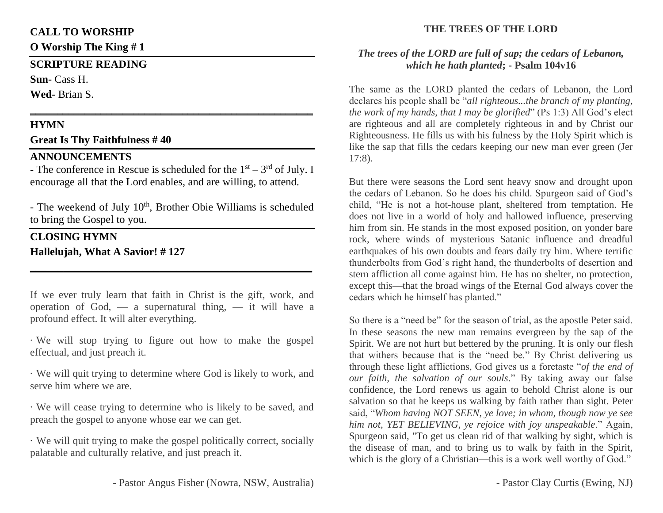# **CALL TO WORSHIP**

**O Worship The King # 1**

# **SCRIPTURE READING**

**Sun-** Cass H.

**Wed-** Brian S.

# **HYMN**

# **Great Is Thy Faithfulness # 40**

# **ANNOUNCEMENTS**

- The conference in Rescue is scheduled for the  $1<sup>st</sup> - 3<sup>rd</sup>$  of July. I encourage all that the Lord enables, and are willing, to attend.

**\_\_\_\_\_\_\_\_\_\_\_\_\_\_\_\_\_\_\_\_\_\_\_\_\_\_\_\_\_\_\_\_\_\_\_\_\_\_\_\_\_\_\_\_\_\_\_\_\_\_\_\_**

- The weekend of July  $10<sup>th</sup>$ , Brother Obie Williams is scheduled to bring the Gospel to you.

# **CLOSING HYMN Hallelujah, What A Savior! # 127**

If we ever truly learn that faith in Christ is the gift, work, and operation of God,  $-$  a supernatural thing,  $-$  it will have a profound effect. It will alter everything.

**\_\_\_\_\_\_\_\_\_\_\_\_\_\_\_\_\_\_\_\_\_\_\_\_\_\_\_\_\_\_\_\_\_\_\_\_\_\_\_\_\_\_\_\_\_\_\_\_\_\_**

· We will stop trying to figure out how to make the gospel effectual, and just preach it.

· We will quit trying to determine where God is likely to work, and serve him where we are.

· We will cease trying to determine who is likely to be saved, and preach the gospel to anyone whose ear we can get.

· We will quit trying to make the gospel politically correct, socially palatable and culturally relative, and just preach it.

# **THE TREES OF THE LORD**

#### *The trees of the LORD are full of sap; the cedars of Lebanon, which he hath planted***; - Psalm 104v16**

The same as the LORD planted the cedars of Lebanon, the Lord declares his people shall be "*all righteous...the branch of my planting, the work of my hands, that I may be glorified*" (Ps 1:3) All God's elect are righteous and all are completely righteous in and by Christ our Righteousness. He fills us with his fulness by the Holy Spirit which is like the sap that fills the cedars keeping our new man ever green (Jer 17:8).

But there were seasons the Lord sent heavy snow and drought upon the cedars of Lebanon. So he does his child. Spurgeon said of God's child, "He is not a hot-house plant, sheltered from temptation. He does not live in a world of holy and hallowed influence, preserving him from sin. He stands in the most exposed position, on yonder bare rock, where winds of mysterious Satanic influence and dreadful earthquakes of his own doubts and fears daily try him. Where terrific thunderbolts from God's right hand, the thunderbolts of desertion and stern affliction all come against him. He has no shelter, no protection, except this—that the broad wings of the Eternal God always cover the cedars which he himself has planted."

So there is a "need be" for the season of trial, as the apostle Peter said. In these seasons the new man remains evergreen by the sap of the Spirit. We are not hurt but bettered by the pruning. It is only our flesh that withers because that is the "need be." By Christ delivering us through these light afflictions, God gives us a foretaste "*of the end of our faith, the salvation of our souls*." By taking away our false confidence, the Lord renews us again to behold Christ alone is our salvation so that he keeps us walking by faith rather than sight. Peter said, "*Whom having NOT SEEN, ye love; in whom, though now ye see him not, YET BELIEVING, ye rejoice with joy unspeakable*." Again, Spurgeon said, "To get us clean rid of that walking by sight, which is the disease of man, and to bring us to walk by faith in the Spirit, which is the glory of a Christian—this is a work well worthy of God."

- Pastor Angus Fisher (Nowra, NSW, Australia)